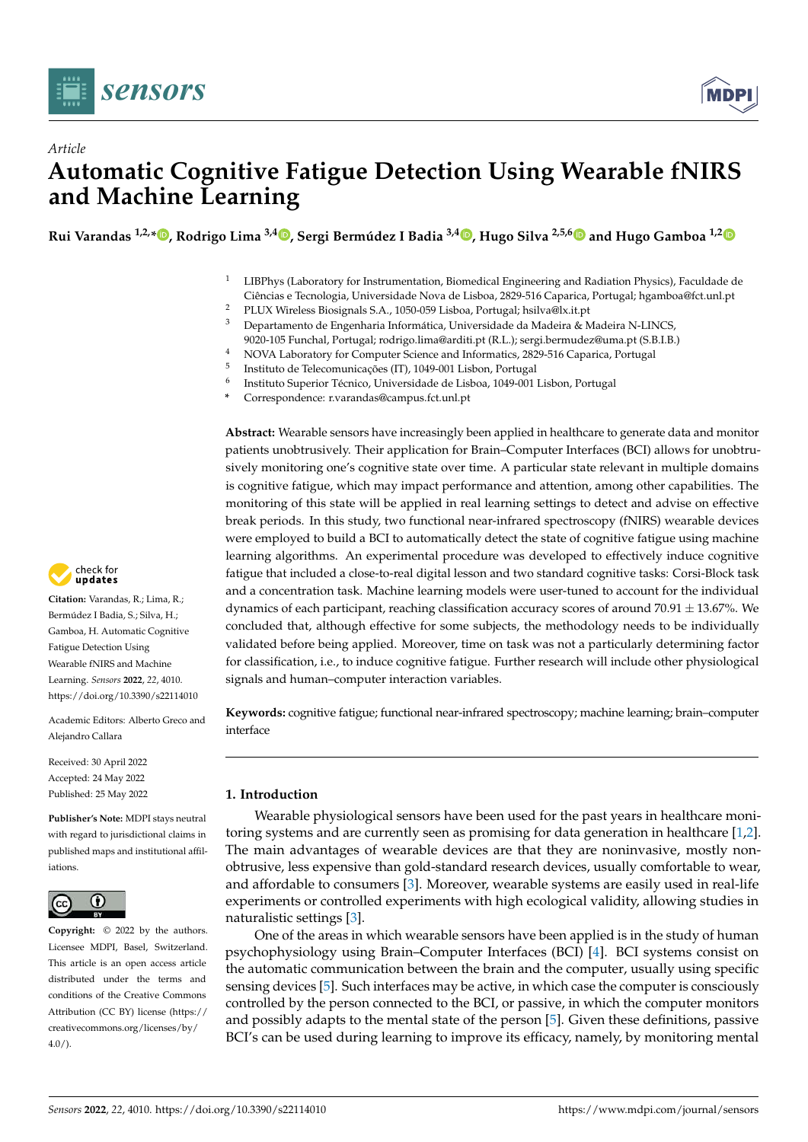



# *Article* **Automatic Cognitive Fatigue Detection Using Wearable fNIRS and Machine Learning**

**Rui Varandas 1,2,\* [,](https://orcid.org/0000-0002-0237-3412) Rodrigo Lima 3,4 [,](https://orcid.org/0000-0002-4030-9526) Sergi Bermúdez I Badia 3,4 [,](https://orcid.org/0000-0003-4452-0414) Hugo Silva 2,5,[6](https://orcid.org/0000-0001-6764-8432) and Hugo Gamboa 1,[2](https://orcid.org/0000-0002-4022-7424)**

- $1$  LIBPhys (Laboratory for Instrumentation, Biomedical Engineering and Radiation Physics), Faculdade de Ciências e Tecnologia, Universidade Nova de Lisboa, 2829-516 Caparica, Portugal; hgamboa@fct.unl.pt
- <sup>2</sup> PLUX Wireless Biosignals S.A., 1050-059 Lisboa, Portugal; hsilva@lx.it.pt  $\frac{3}{2}$  Dependence to de Encombe in formátics. Universidade de Modeira for  $\frac{3}{2}$
- <sup>3</sup> Departamento de Engenharia Informática, Universidade da Madeira & Madeira N-LINCS,
- 9020-105 Funchal, Portugal; rodrigo.lima@arditi.pt (R.L.); sergi.bermudez@uma.pt (S.B.I.B.)
- <sup>4</sup> NOVA Laboratory for Computer Science and Informatics, 2829-516 Caparica, Portugal
- 5 Instituto de Telecomunicações (IT), 1049-001 Lisbon, Portugal
- 6 Instituto Superior Técnico, Universidade de Lisboa, 1049-001 Lisbon, Portugal
- **\*** Correspondence: r.varandas@campus.fct.unl.pt

**Abstract:** Wearable sensors have increasingly been applied in healthcare to generate data and monitor patients unobtrusively. Their application for Brain–Computer Interfaces (BCI) allows for unobtrusively monitoring one's cognitive state over time. A particular state relevant in multiple domains is cognitive fatigue, which may impact performance and attention, among other capabilities. The monitoring of this state will be applied in real learning settings to detect and advise on effective break periods. In this study, two functional near-infrared spectroscopy (fNIRS) wearable devices were employed to build a BCI to automatically detect the state of cognitive fatigue using machine learning algorithms. An experimental procedure was developed to effectively induce cognitive fatigue that included a close-to-real digital lesson and two standard cognitive tasks: Corsi-Block task and a concentration task. Machine learning models were user-tuned to account for the individual dynamics of each participant, reaching classification accuracy scores of around 70.91  $\pm$  13.67%. We concluded that, although effective for some subjects, the methodology needs to be individually validated before being applied. Moreover, time on task was not a particularly determining factor for classification, i.e., to induce cognitive fatigue. Further research will include other physiological signals and human–computer interaction variables.

**Keywords:** cognitive fatigue; functional near-infrared spectroscopy; machine learning; brain–computer interface

## **1. Introduction**

Wearable physiological sensors have been used for the past years in healthcare monitoring systems and are currently seen as promising for data generation in healthcare [\[1,](#page-12-0)[2\]](#page-12-1). The main advantages of wearable devices are that they are noninvasive, mostly nonobtrusive, less expensive than gold-standard research devices, usually comfortable to wear, and affordable to consumers [\[3\]](#page-12-2). Moreover, wearable systems are easily used in real-life experiments or controlled experiments with high ecological validity, allowing studies in naturalistic settings [\[3\]](#page-12-2).

One of the areas in which wearable sensors have been applied is in the study of human psychophysiology using Brain–Computer Interfaces (BCI) [\[4\]](#page-12-3). BCI systems consist on the automatic communication between the brain and the computer, usually using specific sensing devices [\[5\]](#page-12-4). Such interfaces may be active, in which case the computer is consciously controlled by the person connected to the BCI, or passive, in which the computer monitors and possibly adapts to the mental state of the person [\[5\]](#page-12-4). Given these definitions, passive BCI's can be used during learning to improve its efficacy, namely, by monitoring mental



**Citation:** Varandas, R.; Lima, R.; Bermúdez I Badia, S.; Silva, H.; Gamboa, H. Automatic Cognitive Fatigue Detection Using Wearable fNIRS and Machine Learning. *Sensors* **2022**, *22*, 4010. <https://doi.org/10.3390/s22114010>

Academic Editors: Alberto Greco and Alejandro Callara

Received: 30 April 2022 Accepted: 24 May 2022 Published: 25 May 2022

**Publisher's Note:** MDPI stays neutral with regard to jurisdictional claims in published maps and institutional affiliations.



**Copyright:** © 2022 by the authors. Licensee MDPI, Basel, Switzerland. This article is an open access article distributed under the terms and conditions of the Creative Commons Attribution (CC BY) license [\(https://](https://creativecommons.org/licenses/by/4.0/) [creativecommons.org/licenses/by/](https://creativecommons.org/licenses/by/4.0/)  $4.0/$ ).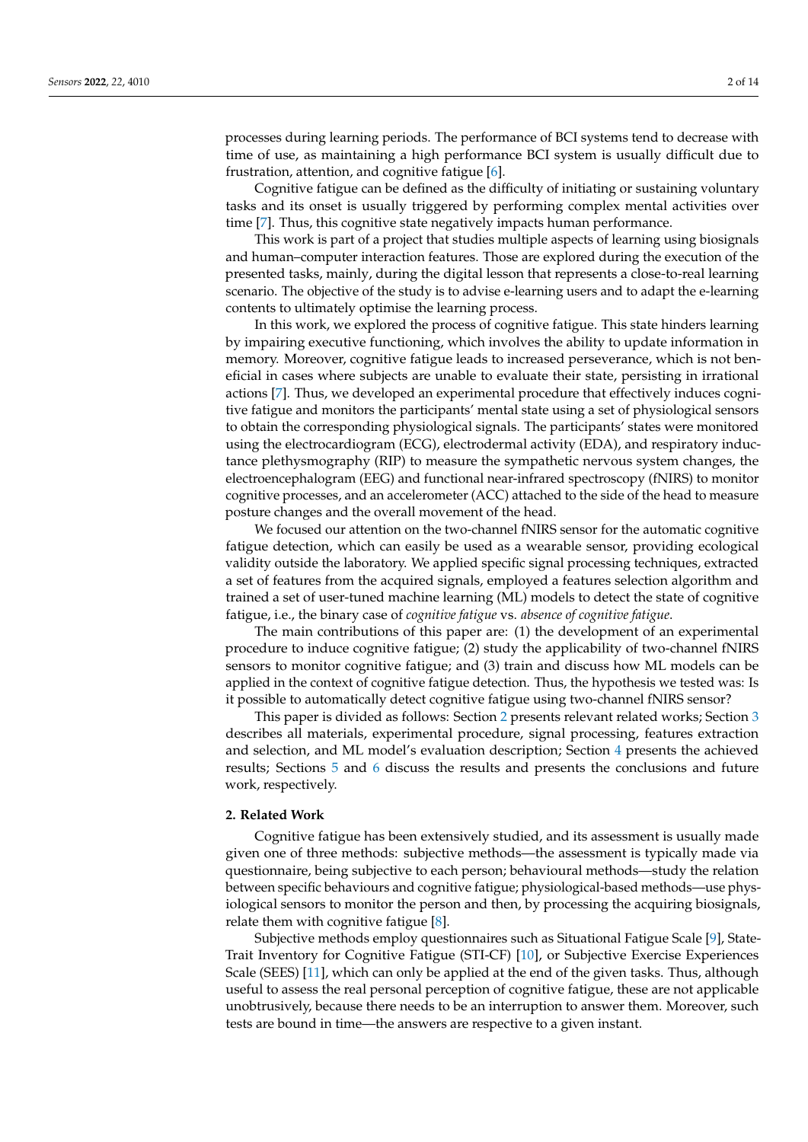processes during learning periods. The performance of BCI systems tend to decrease with time of use, as maintaining a high performance BCI system is usually difficult due to frustration, attention, and cognitive fatigue [\[6\]](#page-12-5).

Cognitive fatigue can be defined as the difficulty of initiating or sustaining voluntary tasks and its onset is usually triggered by performing complex mental activities over time [\[7\]](#page-12-6). Thus, this cognitive state negatively impacts human performance.

This work is part of a project that studies multiple aspects of learning using biosignals and human–computer interaction features. Those are explored during the execution of the presented tasks, mainly, during the digital lesson that represents a close-to-real learning scenario. The objective of the study is to advise e-learning users and to adapt the e-learning contents to ultimately optimise the learning process.

In this work, we explored the process of cognitive fatigue. This state hinders learning by impairing executive functioning, which involves the ability to update information in memory. Moreover, cognitive fatigue leads to increased perseverance, which is not beneficial in cases where subjects are unable to evaluate their state, persisting in irrational actions [\[7\]](#page-12-6). Thus, we developed an experimental procedure that effectively induces cognitive fatigue and monitors the participants' mental state using a set of physiological sensors to obtain the corresponding physiological signals. The participants' states were monitored using the electrocardiogram (ECG), electrodermal activity (EDA), and respiratory inductance plethysmography (RIP) to measure the sympathetic nervous system changes, the electroencephalogram (EEG) and functional near-infrared spectroscopy (fNIRS) to monitor cognitive processes, and an accelerometer (ACC) attached to the side of the head to measure posture changes and the overall movement of the head.

We focused our attention on the two-channel fNIRS sensor for the automatic cognitive fatigue detection, which can easily be used as a wearable sensor, providing ecological validity outside the laboratory. We applied specific signal processing techniques, extracted a set of features from the acquired signals, employed a features selection algorithm and trained a set of user-tuned machine learning (ML) models to detect the state of cognitive fatigue, i.e., the binary case of *cognitive fatigue* vs. *absence of cognitive fatigue*.

The main contributions of this paper are: (1) the development of an experimental procedure to induce cognitive fatigue; (2) study the applicability of two-channel fNIRS sensors to monitor cognitive fatigue; and (3) train and discuss how ML models can be applied in the context of cognitive fatigue detection. Thus, the hypothesis we tested was: Is it possible to automatically detect cognitive fatigue using two-channel fNIRS sensor?

This paper is divided as follows: Section [2](#page-1-0) presents relevant related works; Section [3](#page-3-0) describes all materials, experimental procedure, signal processing, features extraction and selection, and ML model's evaluation description; Section [4](#page-8-0) presents the achieved results; Sections [5](#page-10-0) and [6](#page-11-0) discuss the results and presents the conclusions and future work, respectively.

#### <span id="page-1-0"></span>**2. Related Work**

Cognitive fatigue has been extensively studied, and its assessment is usually made given one of three methods: subjective methods—the assessment is typically made via questionnaire, being subjective to each person; behavioural methods—study the relation between specific behaviours and cognitive fatigue; physiological-based methods—use physiological sensors to monitor the person and then, by processing the acquiring biosignals, relate them with cognitive fatigue [\[8\]](#page-12-7).

Subjective methods employ questionnaires such as Situational Fatigue Scale [\[9\]](#page-12-8), State-Trait Inventory for Cognitive Fatigue (STI-CF) [\[10\]](#page-12-9), or Subjective Exercise Experiences Scale (SEES) [\[11\]](#page-12-10), which can only be applied at the end of the given tasks. Thus, although useful to assess the real personal perception of cognitive fatigue, these are not applicable unobtrusively, because there needs to be an interruption to answer them. Moreover, such tests are bound in time—the answers are respective to a given instant.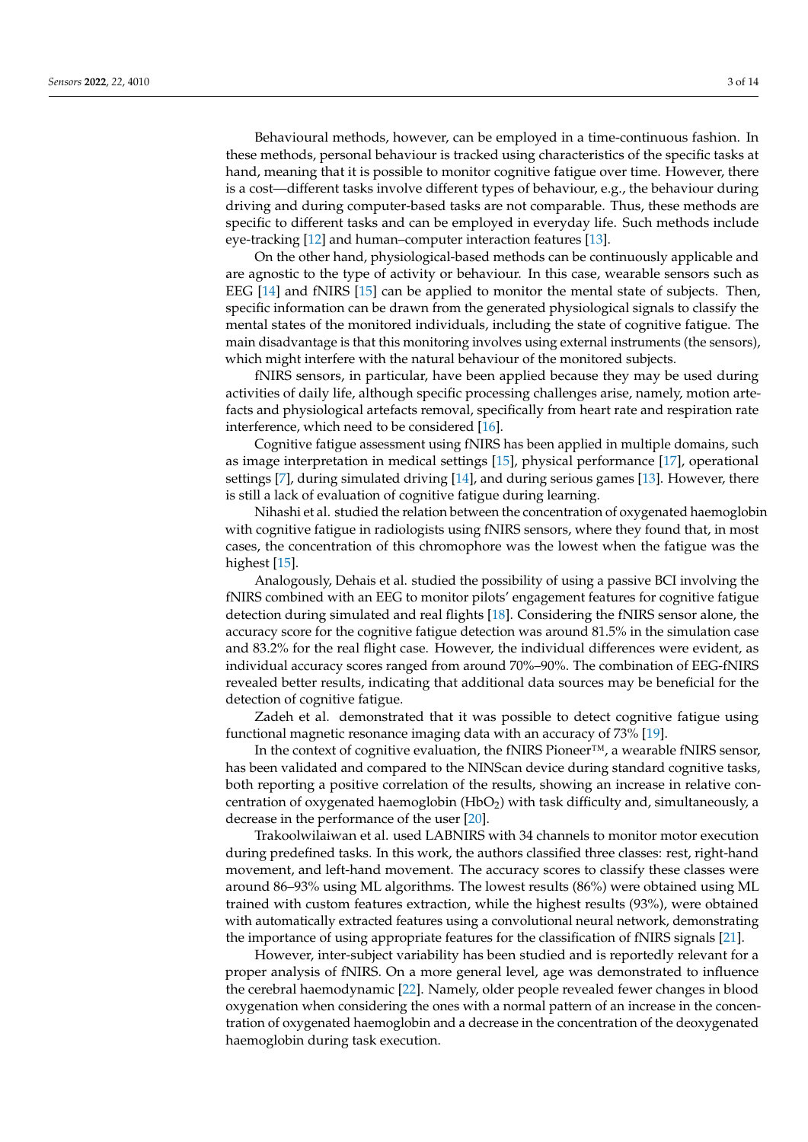Behavioural methods, however, can be employed in a time-continuous fashion. In these methods, personal behaviour is tracked using characteristics of the specific tasks at hand, meaning that it is possible to monitor cognitive fatigue over time. However, there is a cost—different tasks involve different types of behaviour, e.g., the behaviour during driving and during computer-based tasks are not comparable. Thus, these methods are specific to different tasks and can be employed in everyday life. Such methods include eye-tracking [\[12\]](#page-12-11) and human–computer interaction features [\[13\]](#page-12-12).

On the other hand, physiological-based methods can be continuously applicable and are agnostic to the type of activity or behaviour. In this case, wearable sensors such as EEG [\[14\]](#page-12-13) and fNIRS [\[15\]](#page-12-14) can be applied to monitor the mental state of subjects. Then, specific information can be drawn from the generated physiological signals to classify the mental states of the monitored individuals, including the state of cognitive fatigue. The main disadvantage is that this monitoring involves using external instruments (the sensors), which might interfere with the natural behaviour of the monitored subjects.

fNIRS sensors, in particular, have been applied because they may be used during activities of daily life, although specific processing challenges arise, namely, motion artefacts and physiological artefacts removal, specifically from heart rate and respiration rate interference, which need to be considered [\[16\]](#page-12-15).

Cognitive fatigue assessment using fNIRS has been applied in multiple domains, such as image interpretation in medical settings [\[15\]](#page-12-14), physical performance [\[17\]](#page-12-16), operational settings [\[7\]](#page-12-6), during simulated driving [\[14\]](#page-12-13), and during serious games [\[13\]](#page-12-12). However, there is still a lack of evaluation of cognitive fatigue during learning.

Nihashi et al. studied the relation between the concentration of oxygenated haemoglobin with cognitive fatigue in radiologists using fNIRS sensors, where they found that, in most cases, the concentration of this chromophore was the lowest when the fatigue was the highest [\[15\]](#page-12-14).

Analogously, Dehais et al. studied the possibility of using a passive BCI involving the fNIRS combined with an EEG to monitor pilots' engagement features for cognitive fatigue detection during simulated and real flights [\[18\]](#page-12-17). Considering the fNIRS sensor alone, the accuracy score for the cognitive fatigue detection was around 81.5% in the simulation case and 83.2% for the real flight case. However, the individual differences were evident, as individual accuracy scores ranged from around 70%–90%. The combination of EEG-fNIRS revealed better results, indicating that additional data sources may be beneficial for the detection of cognitive fatigue.

Zadeh et al. demonstrated that it was possible to detect cognitive fatigue using functional magnetic resonance imaging data with an accuracy of 73% [\[19\]](#page-12-18).

In the context of cognitive evaluation, the fNIRS Pioneer™, a wearable fNIRS sensor, has been validated and compared to the NINScan device during standard cognitive tasks, both reporting a positive correlation of the results, showing an increase in relative concentration of oxygenated haemoglobin ( $HbO<sub>2</sub>$ ) with task difficulty and, simultaneously, a decrease in the performance of the user [\[20\]](#page-12-19).

Trakoolwilaiwan et al. used LABNIRS with 34 channels to monitor motor execution during predefined tasks. In this work, the authors classified three classes: rest, right-hand movement, and left-hand movement. The accuracy scores to classify these classes were around 86–93% using ML algorithms. The lowest results (86%) were obtained using ML trained with custom features extraction, while the highest results (93%), were obtained with automatically extracted features using a convolutional neural network, demonstrating the importance of using appropriate features for the classification of fNIRS signals [\[21\]](#page-12-20).

However, inter-subject variability has been studied and is reportedly relevant for a proper analysis of fNIRS. On a more general level, age was demonstrated to influence the cerebral haemodynamic [\[22\]](#page-13-0). Namely, older people revealed fewer changes in blood oxygenation when considering the ones with a normal pattern of an increase in the concentration of oxygenated haemoglobin and a decrease in the concentration of the deoxygenated haemoglobin during task execution.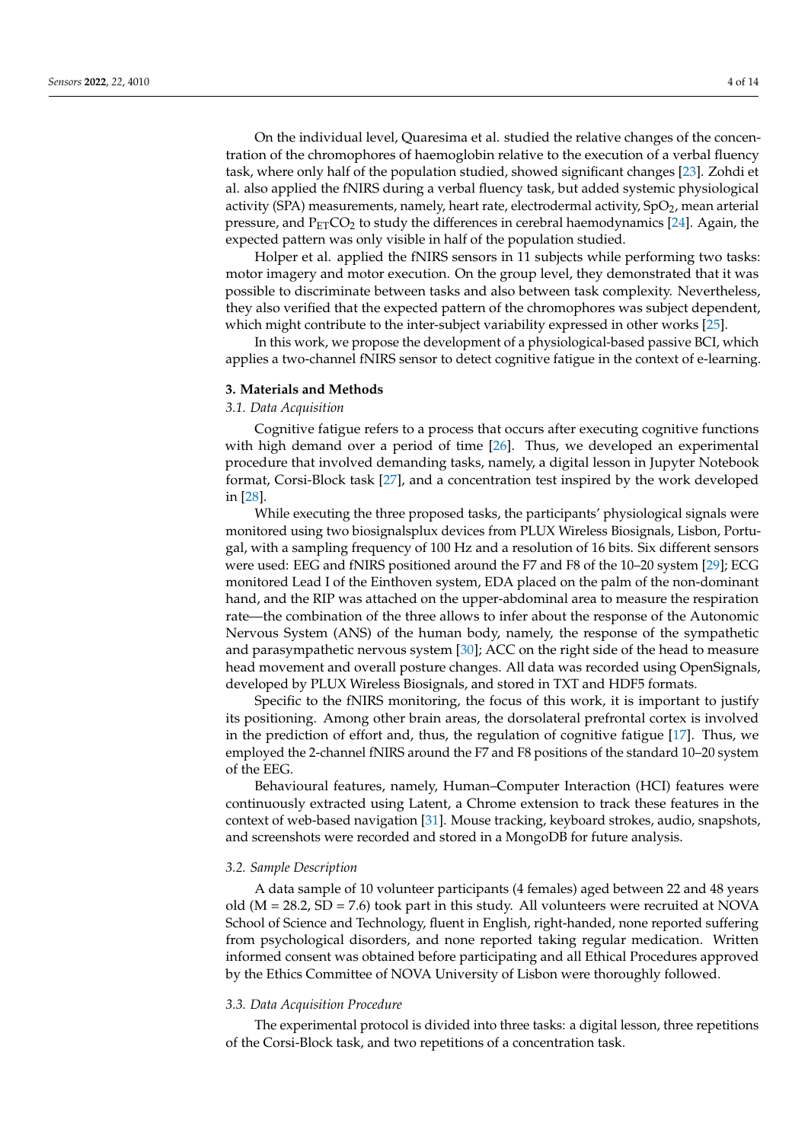On the individual level, Quaresima et al. studied the relative changes of the concentration of the chromophores of haemoglobin relative to the execution of a verbal fluency task, where only half of the population studied, showed significant changes [\[23\]](#page-13-1). Zohdi et al. also applied the fNIRS during a verbal fluency task, but added systemic physiological activity (SPA) measurements, namely, heart rate, electrodermal activity,  $SpO<sub>2</sub>$ , mean arterial pressure, and  $P_{ET}CO_2$  to study the differences in cerebral haemodynamics [\[24\]](#page-13-2). Again, the expected pattern was only visible in half of the population studied.

Holper et al. applied the fNIRS sensors in 11 subjects while performing two tasks: motor imagery and motor execution. On the group level, they demonstrated that it was possible to discriminate between tasks and also between task complexity. Nevertheless, they also verified that the expected pattern of the chromophores was subject dependent, which might contribute to the inter-subject variability expressed in other works [\[25\]](#page-13-3).

In this work, we propose the development of a physiological-based passive BCI, which applies a two-channel fNIRS sensor to detect cognitive fatigue in the context of e-learning.

#### <span id="page-3-0"></span>**3. Materials and Methods**

### *3.1. Data Acquisition*

Cognitive fatigue refers to a process that occurs after executing cognitive functions with high demand over a period of time [\[26\]](#page-13-4). Thus, we developed an experimental procedure that involved demanding tasks, namely, a digital lesson in Jupyter Notebook format, Corsi-Block task [\[27\]](#page-13-5), and a concentration test inspired by the work developed in [\[28\]](#page-13-6).

While executing the three proposed tasks, the participants' physiological signals were monitored using two biosignalsplux devices from PLUX Wireless Biosignals, Lisbon, Portugal, with a sampling frequency of 100 Hz and a resolution of 16 bits. Six different sensors were used: EEG and fNIRS positioned around the F7 and F8 of the 10–20 system [\[29\]](#page-13-7); ECG monitored Lead I of the Einthoven system, EDA placed on the palm of the non-dominant hand, and the RIP was attached on the upper-abdominal area to measure the respiration rate—the combination of the three allows to infer about the response of the Autonomic Nervous System (ANS) of the human body, namely, the response of the sympathetic and parasympathetic nervous system [\[30\]](#page-13-8); ACC on the right side of the head to measure head movement and overall posture changes. All data was recorded using OpenSignals, developed by PLUX Wireless Biosignals, and stored in TXT and HDF5 formats.

Specific to the fNIRS monitoring, the focus of this work, it is important to justify its positioning. Among other brain areas, the dorsolateral prefrontal cortex is involved in the prediction of effort and, thus, the regulation of cognitive fatigue [\[17\]](#page-12-16). Thus, we employed the 2-channel fNIRS around the F7 and F8 positions of the standard 10–20 system of the EEG.

Behavioural features, namely, Human–Computer Interaction (HCI) features were continuously extracted using Latent, a Chrome extension to track these features in the context of web-based navigation [\[31\]](#page-13-9). Mouse tracking, keyboard strokes, audio, snapshots, and screenshots were recorded and stored in a MongoDB for future analysis.

#### *3.2. Sample Description*

A data sample of 10 volunteer participants (4 females) aged between 22 and 48 years old ( $M = 28.2$ ,  $SD = 7.6$ ) took part in this study. All volunteers were recruited at NOVA School of Science and Technology, fluent in English, right-handed, none reported suffering from psychological disorders, and none reported taking regular medication. Written informed consent was obtained before participating and all Ethical Procedures approved by the Ethics Committee of NOVA University of Lisbon were thoroughly followed.

#### *3.3. Data Acquisition Procedure*

The experimental protocol is divided into three tasks: a digital lesson, three repetitions of the Corsi-Block task, and two repetitions of a concentration task.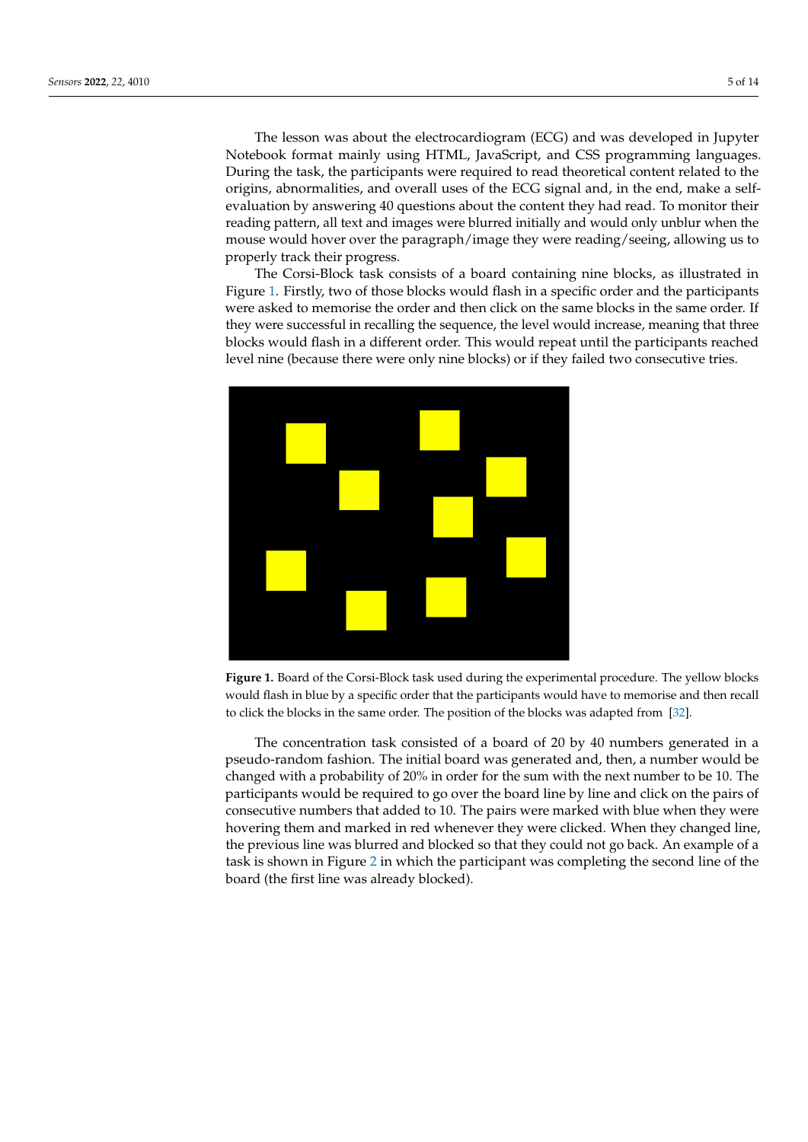The lesson was about the electrocardiogram (ECG) and was developed in Jupyter Notebook format mainly using HTML, JavaScript, and CSS programming languages. During the task, the participants were required to read theoretical content related to the origins, abnormalities, and overall uses of the ECG signal and, in the end, make a selfevaluation by answering 40 questions about the content they had read. To monitor their reading pattern, all text and images were blurred initially and would only unblur when the mouse would hover over the paragraph/image they were reading/seeing, allowing us to properly track their progress.

The Corsi-Block task consists of a board containing nine blocks, as illustrated in Figure [1.](#page-4-0) Firstly, two of those blocks would flash in a specific order and the participants were asked to memorise the order and then click on the same blocks in the same order. If they were successful in recalling the sequence, the level would increase, meaning that three blocks would flash in a different order. This would repeat until the participants reached level nine (because there were only nine blocks) or if they failed two consecutive tries.

<span id="page-4-0"></span>

**Figure 1.** Board of the Corsi-Block task used during the experimental procedure. The yellow blocks would flash in blue by a specific order that the participants would have to memorise and then recall to click the blocks in the same order. The position of the blocks was adapted from [\[32\]](#page-13-10).

The concentration task consisted of a board of 20 by 40 numbers generated in a pseudo-random fashion. The initial board was generated and, then, a number would be changed with a probability of 20% in order for the sum with the next number to be 10. The participants would be required to go over the board line by line and click on the pairs of consecutive numbers that added to 10. The pairs were marked with blue when they were hovering them and marked in red whenever they were clicked. When they changed line, the previous line was blurred and blocked so that they could not go back. An example of a task is shown in Figure [2](#page-5-0) in which the participant was completing the second line of the board (the first line was already blocked).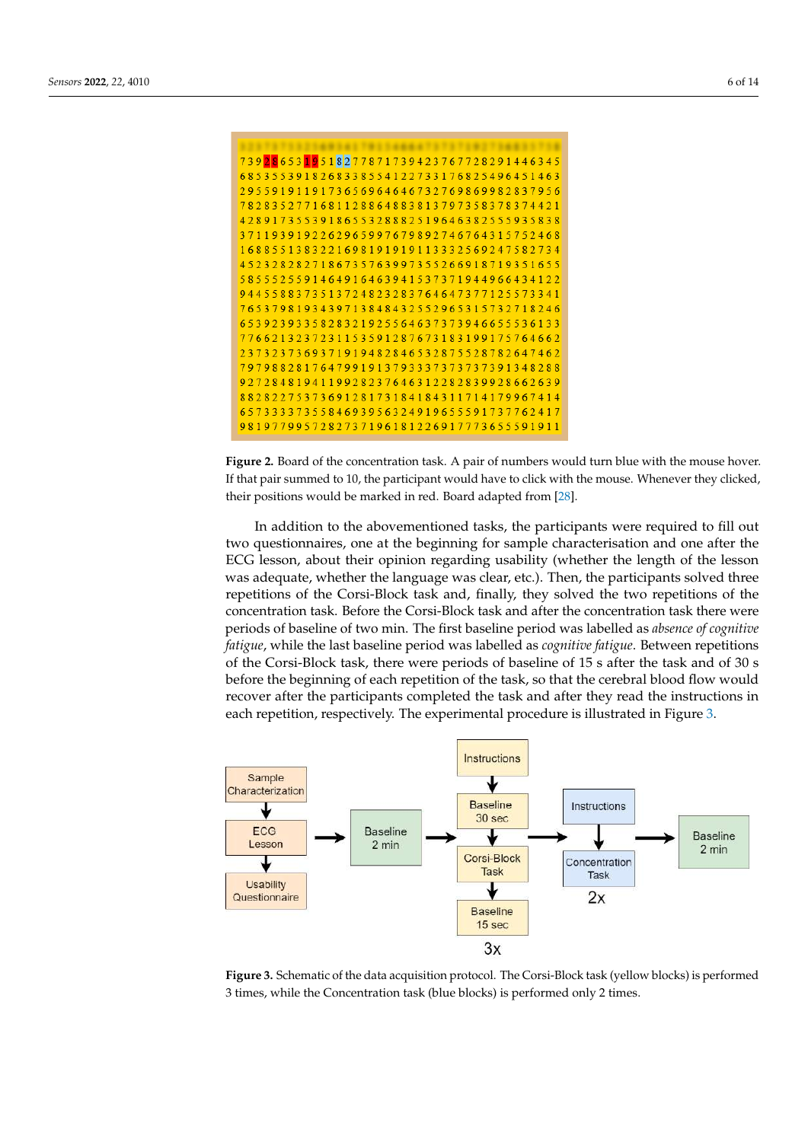<span id="page-5-0"></span>

**Figure 2.** Board of the concentration task. A pair of numbers would turn blue with the mouse hover. If that pair summed to 10, the participant would have to click with the mouse. Whenever they clicked, their positions would be marked in red. Board adapted from [\[28\]](#page-13-6).

In addition to the abovementioned tasks, the participants were required to fill out two questionnaires, one at the beginning for sample characterisation and one after the ECG lesson, about their opinion regarding usability (whether the length of the lesson was adequate, whether the language was clear, etc.). Then, the participants solved three repetitions of the Corsi-Block task and, finally, they solved the two repetitions of the concentration task. Before the Corsi-Block task and after the concentration task there were periods of baseline of two min. The first baseline period was labelled as *absence of cognitive fatigue*, while the last baseline period was labelled as *cognitive fatigue*. Between repetitions of the Corsi-Block task, there were periods of baseline of 15 s after the task and of 30 s before the beginning of each repetition of the task, so that the cerebral blood flow would recover after the participants completed the task and after they read the instructions in each repetition, respectively. The experimental procedure is illustrated in Figure [3.](#page-5-1)

<span id="page-5-1"></span>

**Figure 3.** Schematic of the data acquisition protocol. The Corsi-Block task (yellow blocks) is performed 3 times, while the Concentration task (blue blocks) is performed only 2 times.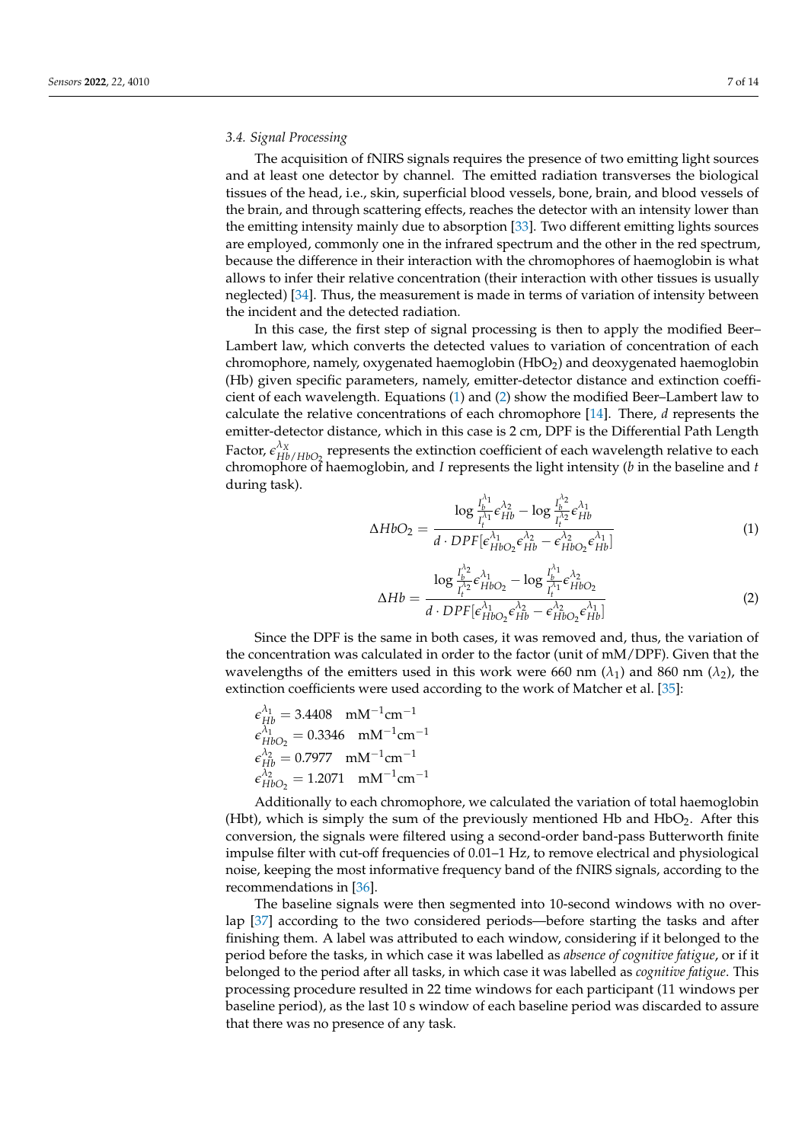#### <span id="page-6-2"></span>*3.4. Signal Processing*

The acquisition of fNIRS signals requires the presence of two emitting light sources and at least one detector by channel. The emitted radiation transverses the biological tissues of the head, i.e., skin, superficial blood vessels, bone, brain, and blood vessels of the brain, and through scattering effects, reaches the detector with an intensity lower than the emitting intensity mainly due to absorption [\[33\]](#page-13-11). Two different emitting lights sources are employed, commonly one in the infrared spectrum and the other in the red spectrum, because the difference in their interaction with the chromophores of haemoglobin is what allows to infer their relative concentration (their interaction with other tissues is usually neglected) [\[34\]](#page-13-12). Thus, the measurement is made in terms of variation of intensity between the incident and the detected radiation.

In this case, the first step of signal processing is then to apply the modified Beer– Lambert law, which converts the detected values to variation of concentration of each chromophore, namely, oxygenated haemoglobin (HbO<sub>2</sub>) and deoxygenated haemoglobin (Hb) given specific parameters, namely, emitter-detector distance and extinction coefficient of each wavelength. Equations [\(1\)](#page-6-0) and [\(2\)](#page-6-1) show the modified Beer–Lambert law to calculate the relative concentrations of each chromophore [\[14\]](#page-12-13). There, *d* represents the emitter-detector distance, which in this case is 2 cm, DPF is the Differential Path Length Factor,  $\epsilon_{Hb/HbO_2}^{\lambda_X}$  represents the extinction coefficient of each wavelength relative to each chromophore of haemoglobin, and *I* represents the light intensity (*b* in the baseline and *t* during task).

<span id="page-6-0"></span>
$$
\Delta H b O_2 = \frac{\log \frac{I_b^{\lambda_1}}{I_t^{\lambda_1}} \epsilon_{Hb}^{\lambda_2} - \log \frac{I_b^{\lambda_2}}{I_t^{\lambda_2}} \epsilon_{Hb}^{\lambda_1}}{d \cdot DPF[\epsilon_{HbO_2}^{\lambda_1} \epsilon_{Hb}^{\lambda_2} - \epsilon_{HbO_2}^{\lambda_2} \epsilon_{Hb}^{\lambda_1}]}
$$
(1)

<span id="page-6-1"></span>
$$
\Delta Hb = \frac{\log \frac{I_b^{\lambda_2}}{I_t^{\lambda_2}} \epsilon_{HbO_2}^{\lambda_1} - \log \frac{I_b^{\lambda_1}}{I_t^{\lambda_1}} \epsilon_{HbO_2}^{\lambda_2}}{d \cdot DPF[\epsilon_{HbO_2}^{\lambda_1} \epsilon_{Hb}^{\lambda_2} - \epsilon_{HbO_2}^{\lambda_2} \epsilon_{Hb}^{\lambda_1}]}
$$
(2)

Since the DPF is the same in both cases, it was removed and, thus, the variation of the concentration was calculated in order to the factor (unit of mM/DPF). Given that the wavelengths of the emitters used in this work were 660 nm  $(\lambda_1)$  and 860 nm  $(\lambda_2)$ , the extinction coefficients were used according to the work of Matcher et al. [\[35\]](#page-13-13):

$$
\epsilon_{Hb}^{\lambda_1} = 3.4408 \text{ mM}^{-1} \text{cm}^{-1}
$$
  
\n
$$
\epsilon_{HbO_2}^{\lambda_1} = 0.3346 \text{ mM}^{-1} \text{cm}^{-1}
$$
  
\n
$$
\epsilon_{Hb}^{\lambda_2} = 0.7977 \text{ mM}^{-1} \text{cm}^{-1}
$$
  
\n
$$
\epsilon_{HbO_2}^{\lambda_2} = 1.2071 \text{ mM}^{-1} \text{cm}^{-1}
$$

Additionally to each chromophore, we calculated the variation of total haemoglobin (Hbt), which is simply the sum of the previously mentioned Hb and HbO<sub>2</sub>. After this conversion, the signals were filtered using a second-order band-pass Butterworth finite impulse filter with cut-off frequencies of 0.01–1 Hz, to remove electrical and physiological noise, keeping the most informative frequency band of the fNIRS signals, according to the recommendations in [\[36\]](#page-13-14).

The baseline signals were then segmented into 10-second windows with no overlap [\[37\]](#page-13-15) according to the two considered periods—before starting the tasks and after finishing them. A label was attributed to each window, considering if it belonged to the period before the tasks, in which case it was labelled as *absence of cognitive fatigue*, or if it belonged to the period after all tasks, in which case it was labelled as *cognitive fatigue*. This processing procedure resulted in 22 time windows for each participant (11 windows per baseline period), as the last 10 s window of each baseline period was discarded to assure that there was no presence of any task.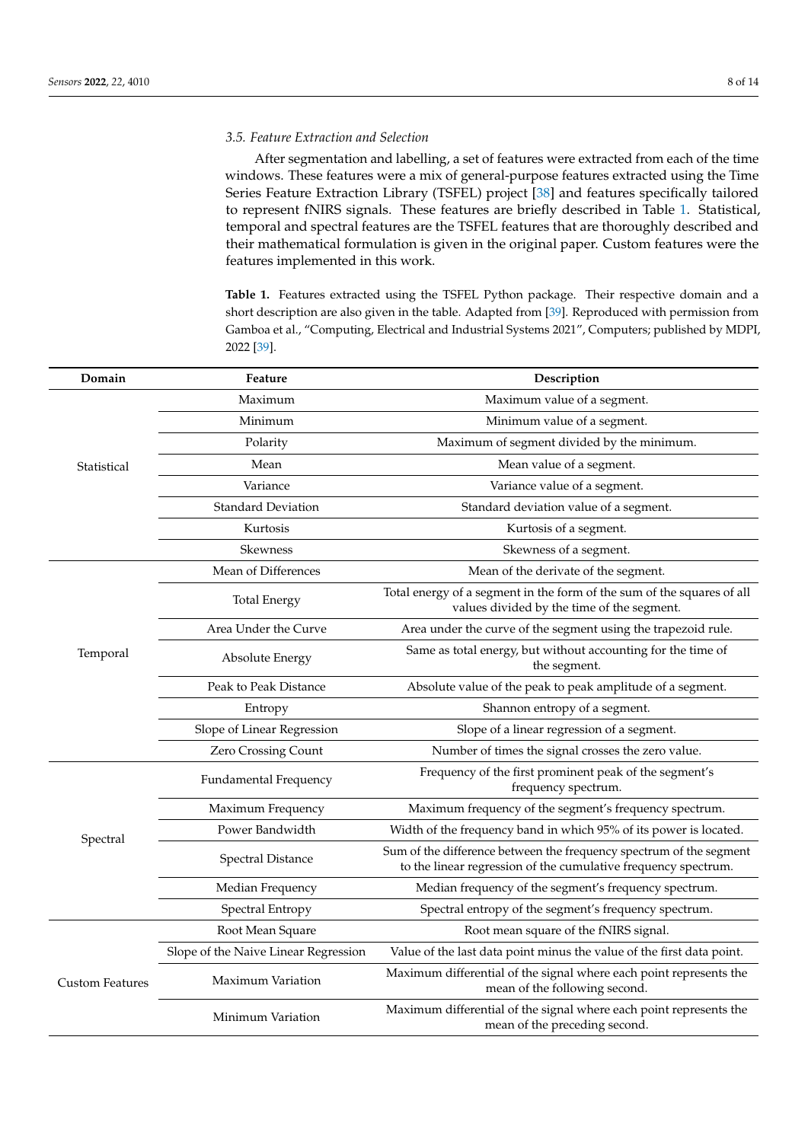## *3.5. Feature Extraction and Selection*

After segmentation and labelling, a set of features were extracted from each of the time windows. These features were a mix of general-purpose features extracted using the Time Series Feature Extraction Library (TSFEL) project [\[38\]](#page-13-16) and features specifically tailored to represent fNIRS signals. These features are briefly described in Table [1.](#page-7-0) Statistical, temporal and spectral features are the TSFEL features that are thoroughly described and their mathematical formulation is given in the original paper. Custom features were the features implemented in this work.

<span id="page-7-0"></span>**Table 1.** Features extracted using the TSFEL Python package. Their respective domain and a short description are also given in the table. Adapted from [\[39\]](#page-13-17). Reproduced with permission from Gamboa et al., "Computing, Electrical and Industrial Systems 2021", Computers; published by MDPI, 2022 [\[39\]](#page-13-17).

| Domain                  | Feature                              | Description                                                                                                                           |  |  |
|-------------------------|--------------------------------------|---------------------------------------------------------------------------------------------------------------------------------------|--|--|
| Statistical<br>Temporal | Maximum                              | Maximum value of a segment.                                                                                                           |  |  |
|                         | Minimum                              | Minimum value of a segment.                                                                                                           |  |  |
|                         | Polarity                             | Maximum of segment divided by the minimum.                                                                                            |  |  |
|                         | Mean                                 | Mean value of a segment.                                                                                                              |  |  |
|                         | Variance                             | Variance value of a segment.                                                                                                          |  |  |
|                         | <b>Standard Deviation</b>            | Standard deviation value of a segment.                                                                                                |  |  |
|                         | Kurtosis                             | Kurtosis of a segment.                                                                                                                |  |  |
|                         | Skewness                             | Skewness of a segment.                                                                                                                |  |  |
|                         | Mean of Differences                  | Mean of the derivate of the segment.                                                                                                  |  |  |
|                         | <b>Total Energy</b>                  | Total energy of a segment in the form of the sum of the squares of all<br>values divided by the time of the segment.                  |  |  |
|                         | Area Under the Curve                 | Area under the curve of the segment using the trapezoid rule.                                                                         |  |  |
|                         | Absolute Energy                      | Same as total energy, but without accounting for the time of<br>the segment.                                                          |  |  |
|                         | Peak to Peak Distance                | Absolute value of the peak to peak amplitude of a segment.                                                                            |  |  |
|                         | Entropy                              | Shannon entropy of a segment.                                                                                                         |  |  |
|                         | Slope of Linear Regression           | Slope of a linear regression of a segment.                                                                                            |  |  |
|                         | Zero Crossing Count                  | Number of times the signal crosses the zero value.                                                                                    |  |  |
|                         | Fundamental Frequency                | Frequency of the first prominent peak of the segment's<br>frequency spectrum.                                                         |  |  |
|                         | Maximum Frequency                    | Maximum frequency of the segment's frequency spectrum.                                                                                |  |  |
|                         | Power Bandwidth                      | Width of the frequency band in which 95% of its power is located.                                                                     |  |  |
| Spectral                | <b>Spectral Distance</b>             | Sum of the difference between the frequency spectrum of the segment<br>to the linear regression of the cumulative frequency spectrum. |  |  |
|                         | Median Frequency                     | Median frequency of the segment's frequency spectrum.                                                                                 |  |  |
|                         | Spectral Entropy                     | Spectral entropy of the segment's frequency spectrum.                                                                                 |  |  |
| <b>Custom Features</b>  | Root Mean Square                     | Root mean square of the fNIRS signal.                                                                                                 |  |  |
|                         | Slope of the Naive Linear Regression | Value of the last data point minus the value of the first data point.                                                                 |  |  |
|                         | Maximum Variation                    | Maximum differential of the signal where each point represents the<br>mean of the following second.                                   |  |  |
|                         | Minimum Variation                    | Maximum differential of the signal where each point represents the<br>mean of the preceding second.                                   |  |  |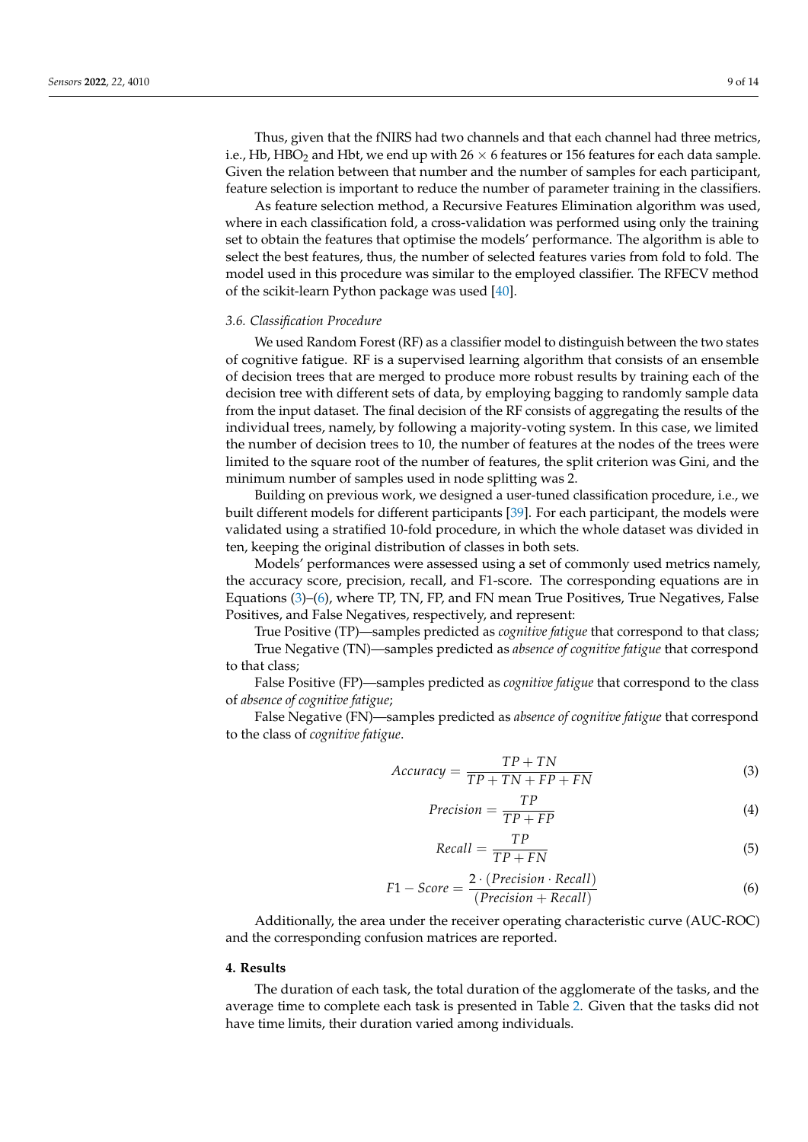Thus, given that the fNIRS had two channels and that each channel had three metrics, i.e., Hb, HBO<sub>2</sub> and Hbt, we end up with  $26 \times 6$  features or 156 features for each data sample. Given the relation between that number and the number of samples for each participant, feature selection is important to reduce the number of parameter training in the classifiers.

As feature selection method, a Recursive Features Elimination algorithm was used, where in each classification fold, a cross-validation was performed using only the training set to obtain the features that optimise the models' performance. The algorithm is able to select the best features, thus, the number of selected features varies from fold to fold. The model used in this procedure was similar to the employed classifier. The RFECV method of the scikit-learn Python package was used [\[40\]](#page-13-18).

### *3.6. Classification Procedure*

We used Random Forest (RF) as a classifier model to distinguish between the two states of cognitive fatigue. RF is a supervised learning algorithm that consists of an ensemble of decision trees that are merged to produce more robust results by training each of the decision tree with different sets of data, by employing bagging to randomly sample data from the input dataset. The final decision of the RF consists of aggregating the results of the individual trees, namely, by following a majority-voting system. In this case, we limited the number of decision trees to 10, the number of features at the nodes of the trees were limited to the square root of the number of features, the split criterion was Gini, and the minimum number of samples used in node splitting was 2.

Building on previous work, we designed a user-tuned classification procedure, i.e., we built different models for different participants [\[39\]](#page-13-17). For each participant, the models were validated using a stratified 10-fold procedure, in which the whole dataset was divided in ten, keeping the original distribution of classes in both sets.

Models' performances were assessed using a set of commonly used metrics namely, the accuracy score, precision, recall, and F1-score. The corresponding equations are in Equations [\(3\)](#page-8-1)–[\(6\)](#page-8-2), where TP, TN, FP, and FN mean True Positives, True Negatives, False Positives, and False Negatives, respectively, and represent:

True Positive (TP)—samples predicted as *cognitive fatigue* that correspond to that class; True Negative (TN)—samples predicted as *absence of cognitive fatigue* that correspond to that class;

False Positive (FP)—samples predicted as *cognitive fatigue* that correspond to the class of *absence of cognitive fatigue*;

False Negative (FN)—samples predicted as *absence of cognitive fatigue* that correspond to the class of *cognitive fatigue*.

<span id="page-8-1"></span>
$$
Accuracy = \frac{TP + TN}{TP + TN + FP + FN}
$$
\n(3)

$$
Precision = \frac{TP}{TP + FP}
$$
\n(4)

$$
Recall = \frac{TP}{TP + FN} \tag{5}
$$

<span id="page-8-2"></span>
$$
F1 - Score = \frac{2 \cdot (Precision \cdot Recall)}{(Precision + Recall)}
$$
\n(6)

Additionally, the area under the receiver operating characteristic curve (AUC-ROC) and the corresponding confusion matrices are reported.

#### <span id="page-8-0"></span>**4. Results**

The duration of each task, the total duration of the agglomerate of the tasks, and the average time to complete each task is presented in Table [2.](#page-9-0) Given that the tasks did not have time limits, their duration varied among individuals.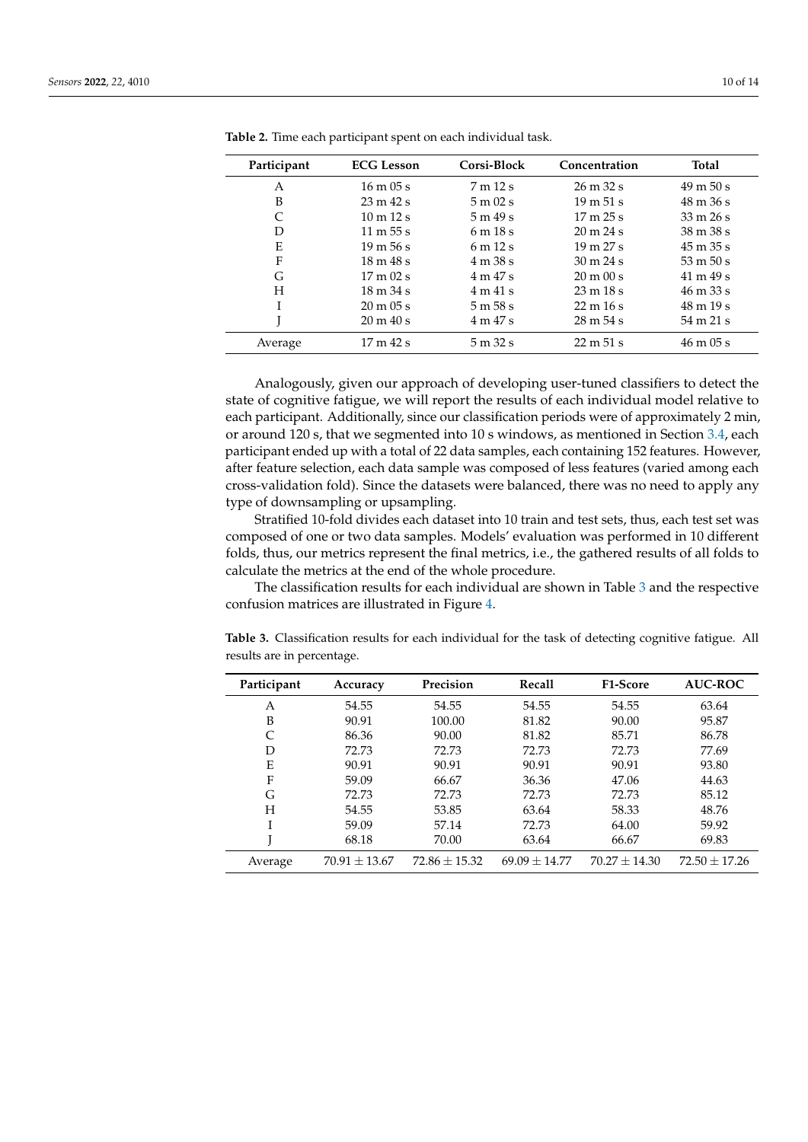| Participant | <b>ECG Lesson</b>            | Corsi-Block                 | Concentration                | <b>Total</b>                 |
|-------------|------------------------------|-----------------------------|------------------------------|------------------------------|
| A           | $16 \text{ m}$ 05 s          | 7m12s                       | $26 \text{ m } 32 \text{ s}$ | $49 \text{ m } 50 \text{ s}$ |
| B           | $23 \text{ m } 42 \text{ s}$ | $5 \text{ m}$ 02 s          | $19 \text{ m } 51 \text{ s}$ | $48 \text{ m } 36 \text{ s}$ |
| C           | $10 \text{ m}$ 12 s          | 5m49s                       | 17 m 25 s                    | $33 \text{ m } 26 \text{ s}$ |
| D           | 11 m $55 s$                  | 6m18s                       | $20 \text{ m} 24 \text{ s}$  | $38 \text{ m} 38 \text{ s}$  |
| E           | $19 \text{ m} 56 \text{ s}$  | 6m12s                       | $19 \text{ m } 27 \text{ s}$ | $45 \text{ m } 35 \text{ s}$ |
| F           | $18 \text{ m } 48 \text{ s}$ | 4m38s                       | $30 \text{ m} 24 \text{ s}$  | $53 \text{ m } 50 \text{ s}$ |
| G           | $17 \text{ m}$ 02 s          | 4 m 47 s                    | $20 \text{ m} 00 \text{ s}$  | 41 m 49 s                    |
| H           | $18 \text{ m } 34 \text{ s}$ | $4 \text{ m } 41 \text{ s}$ | $23 \text{ m} 18 \text{ s}$  | $46 \text{ m } 33 \text{ s}$ |
| L           | $20 \text{ m} 05 \text{ s}$  | $5 \text{ m}$ 58 s          | $22 \text{ m} 16 \text{ s}$  | $48 \text{ m} 19 \text{ s}$  |
|             | $20 \text{ m } 40 \text{ s}$ | 4 m 47 s                    | $28 \text{ m } 54 \text{ s}$ | $54 \text{ m } 21 \text{ s}$ |
| Average     | 17m42s                       | 5m32s                       | 22 m 51 s                    | $46 \text{ m} 05 \text{ s}$  |

<span id="page-9-0"></span>**Table 2.** Time each participant spent on each individual task.

Analogously, given our approach of developing user-tuned classifiers to detect the state of cognitive fatigue, we will report the results of each individual model relative to each participant. Additionally, since our classification periods were of approximately 2 min, or around 120 s, that we segmented into 10 s windows, as mentioned in Section [3.4,](#page-6-2) each participant ended up with a total of 22 data samples, each containing 152 features. However, after feature selection, each data sample was composed of less features (varied among each cross-validation fold). Since the datasets were balanced, there was no need to apply any type of downsampling or upsampling.

Stratified 10-fold divides each dataset into 10 train and test sets, thus, each test set was composed of one or two data samples. Models' evaluation was performed in 10 different folds, thus, our metrics represent the final metrics, i.e., the gathered results of all folds to calculate the metrics at the end of the whole procedure.

The classification results for each individual are shown in Table [3](#page-9-1) and the respective confusion matrices are illustrated in Figure [4.](#page-10-1)

| results are in percentage. |              |           |        |                   |                                           |  |  |  |  |
|----------------------------|--------------|-----------|--------|-------------------|-------------------------------------------|--|--|--|--|
| Participant                | Accuracy     | Precision | Recall | <b>F1-Score</b>   | <b>AUC-ROC</b>                            |  |  |  |  |
| Α                          | 54.55        | 54.55     | 54.55  | 54.55             | 63.64                                     |  |  |  |  |
| D                          | <u>00.01</u> | 100.00    | 0102   | $\Omega$ $\Omega$ | $\Omega$ $\Gamma$ $\Omega$ $\overline{C}$ |  |  |  |  |

<span id="page-9-1"></span>**Table 3.** Classification results for each individual for the task of detecting cognitive fatigue. All

B 90.91 100.00 81.82 90.00 95.87 C 86.36 90.00 81.82 85.71 86.78 D 72.73 72.73 72.73 72.73 77.69 E 90.91 90.91 90.91 90.91 90.91 93.80 F 59.09 66.67 36.36 47.06 44.63 G 72.73 72.73 72.73 72.73 85.12 H 54.55 53.85 63.64 58.33 48.76

I 59.09 57.14 72.73 64.00 59.92 J 68.18 70.00 63.64 66.67 69.83 Average  $70.91 \pm 13.67$   $72.86 \pm 15.32$   $69.09 \pm 14.77$   $70.27 \pm 14.30$   $72.50 \pm 17.26$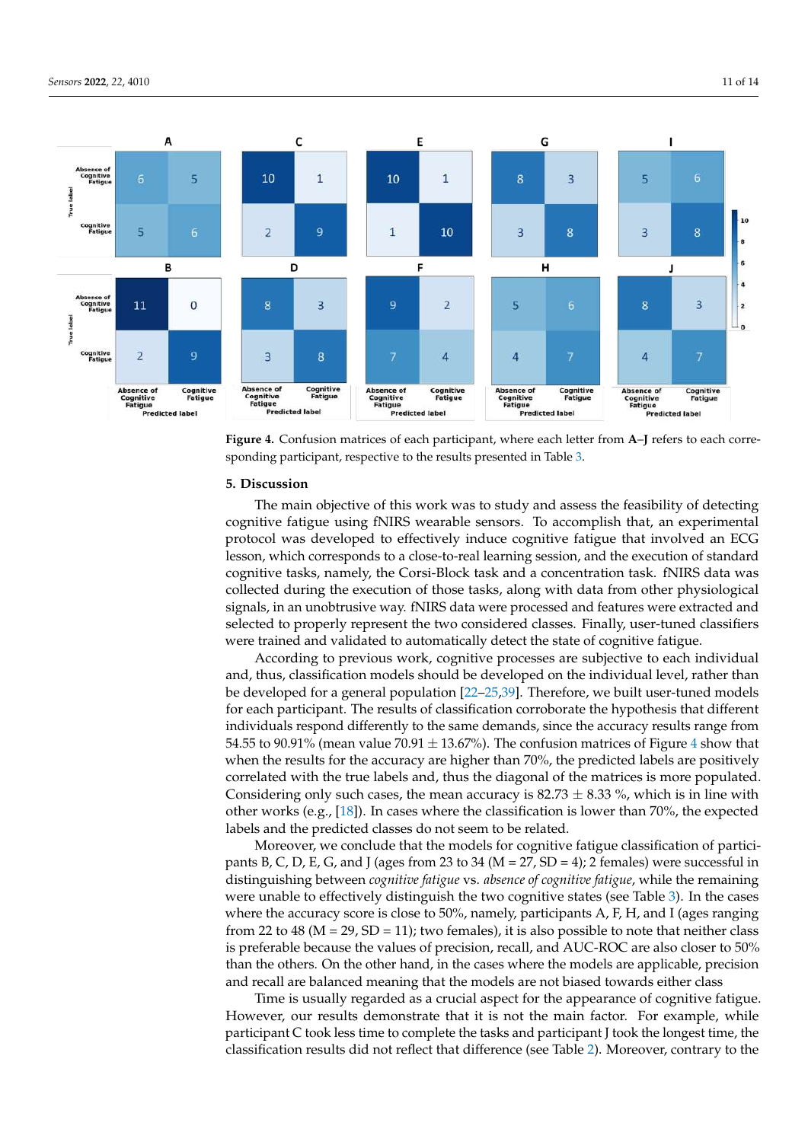<span id="page-10-1"></span>

**Figure 4.** Confusion matrices of each participant, where each letter from **A**–**J** refers to each corresponding participant, respective to the results presented in Table [3.](#page-9-1)

### <span id="page-10-0"></span>**5. Discussion**

The main objective of this work was to study and assess the feasibility of detecting cognitive fatigue using fNIRS wearable sensors. To accomplish that, an experimental protocol was developed to effectively induce cognitive fatigue that involved an ECG lesson, which corresponds to a close-to-real learning session, and the execution of standard cognitive tasks, namely, the Corsi-Block task and a concentration task. fNIRS data was collected during the execution of those tasks, along with data from other physiological signals, in an unobtrusive way. fNIRS data were processed and features were extracted and selected to properly represent the two considered classes. Finally, user-tuned classifiers were trained and validated to automatically detect the state of cognitive fatigue.

According to previous work, cognitive processes are subjective to each individual and, thus, classification models should be developed on the individual level, rather than be developed for a general population [\[22](#page-13-0)[–25,](#page-13-3)[39\]](#page-13-17). Therefore, we built user-tuned models for each participant. The results of classification corroborate the hypothesis that different individuals respond differently to the same demands, since the accuracy results range from 5[4](#page-10-1).55 to 90.91% (mean value 70.91  $\pm$  13.67%). The confusion matrices of Figure 4 show that when the results for the accuracy are higher than 70%, the predicted labels are positively correlated with the true labels and, thus the diagonal of the matrices is more populated. Considering only such cases, the mean accuracy is  $82.73 \pm 8.33$  %, which is in line with other works (e.g., [\[18\]](#page-12-17)). In cases where the classification is lower than 70%, the expected labels and the predicted classes do not seem to be related.

Moreover, we conclude that the models for cognitive fatigue classification of participants B, C, D, E, G, and J (ages from 23 to 34 ( $M = 27$ ,  $SD = 4$ ); 2 females) were successful in distinguishing between *cognitive fatigue* vs. *absence of cognitive fatigue*, while the remaining were unable to effectively distinguish the two cognitive states (see Table [3\)](#page-9-1). In the cases where the accuracy score is close to 50%, namely, participants A, F, H, and I (ages ranging from 22 to 48 ( $M = 29$ ,  $SD = 11$ ); two females), it is also possible to note that neither class is preferable because the values of precision, recall, and AUC-ROC are also closer to 50% than the others. On the other hand, in the cases where the models are applicable, precision and recall are balanced meaning that the models are not biased towards either class

Time is usually regarded as a crucial aspect for the appearance of cognitive fatigue. However, our results demonstrate that it is not the main factor. For example, while participant C took less time to complete the tasks and participant J took the longest time, the classification results did not reflect that difference (see Table [2\)](#page-9-0). Moreover, contrary to the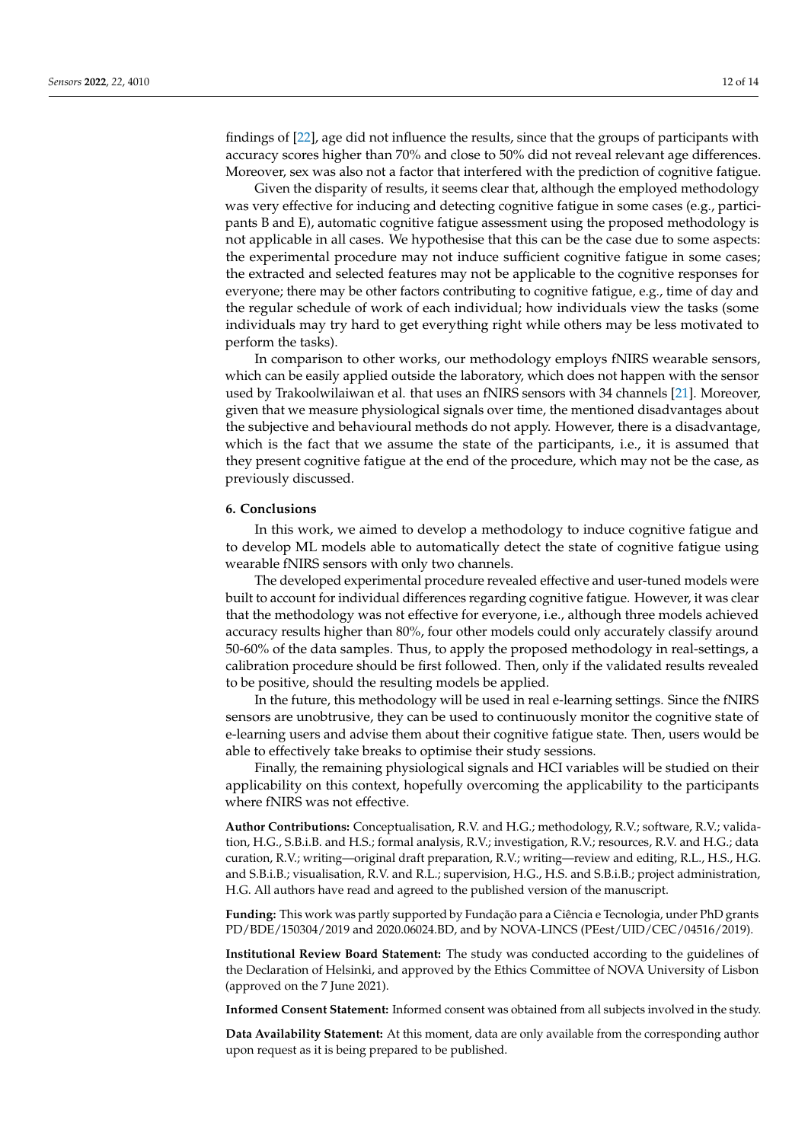findings of [\[22\]](#page-13-0), age did not influence the results, since that the groups of participants with accuracy scores higher than 70% and close to 50% did not reveal relevant age differences. Moreover, sex was also not a factor that interfered with the prediction of cognitive fatigue.

Given the disparity of results, it seems clear that, although the employed methodology was very effective for inducing and detecting cognitive fatigue in some cases (e.g., participants B and E), automatic cognitive fatigue assessment using the proposed methodology is not applicable in all cases. We hypothesise that this can be the case due to some aspects: the experimental procedure may not induce sufficient cognitive fatigue in some cases; the extracted and selected features may not be applicable to the cognitive responses for everyone; there may be other factors contributing to cognitive fatigue, e.g., time of day and the regular schedule of work of each individual; how individuals view the tasks (some individuals may try hard to get everything right while others may be less motivated to perform the tasks).

In comparison to other works, our methodology employs fNIRS wearable sensors, which can be easily applied outside the laboratory, which does not happen with the sensor used by Trakoolwilaiwan et al. that uses an fNIRS sensors with 34 channels [\[21\]](#page-12-20). Moreover, given that we measure physiological signals over time, the mentioned disadvantages about the subjective and behavioural methods do not apply. However, there is a disadvantage, which is the fact that we assume the state of the participants, i.e., it is assumed that they present cognitive fatigue at the end of the procedure, which may not be the case, as previously discussed.

### <span id="page-11-0"></span>**6. Conclusions**

In this work, we aimed to develop a methodology to induce cognitive fatigue and to develop ML models able to automatically detect the state of cognitive fatigue using wearable fNIRS sensors with only two channels.

The developed experimental procedure revealed effective and user-tuned models were built to account for individual differences regarding cognitive fatigue. However, it was clear that the methodology was not effective for everyone, i.e., although three models achieved accuracy results higher than 80%, four other models could only accurately classify around 50-60% of the data samples. Thus, to apply the proposed methodology in real-settings, a calibration procedure should be first followed. Then, only if the validated results revealed to be positive, should the resulting models be applied.

In the future, this methodology will be used in real e-learning settings. Since the fNIRS sensors are unobtrusive, they can be used to continuously monitor the cognitive state of e-learning users and advise them about their cognitive fatigue state. Then, users would be able to effectively take breaks to optimise their study sessions.

Finally, the remaining physiological signals and HCI variables will be studied on their applicability on this context, hopefully overcoming the applicability to the participants where fNIRS was not effective.

**Author Contributions:** Conceptualisation, R.V. and H.G.; methodology, R.V.; software, R.V.; validation, H.G., S.B.i.B. and H.S.; formal analysis, R.V.; investigation, R.V.; resources, R.V. and H.G.; data curation, R.V.; writing—original draft preparation, R.V.; writing—review and editing, R.L., H.S., H.G. and S.B.i.B.; visualisation, R.V. and R.L.; supervision, H.G., H.S. and S.B.i.B.; project administration, H.G. All authors have read and agreed to the published version of the manuscript.

**Funding:** This work was partly supported by Fundação para a Ciência e Tecnologia, under PhD grants PD/BDE/150304/2019 and 2020.06024.BD, and by NOVA-LINCS (PEest/UID/CEC/04516/2019).

**Institutional Review Board Statement:** The study was conducted according to the guidelines of the Declaration of Helsinki, and approved by the Ethics Committee of NOVA University of Lisbon (approved on the 7 June 2021).

**Informed Consent Statement:** Informed consent was obtained from all subjects involved in the study.

**Data Availability Statement:** At this moment, data are only available from the corresponding author upon request as it is being prepared to be published.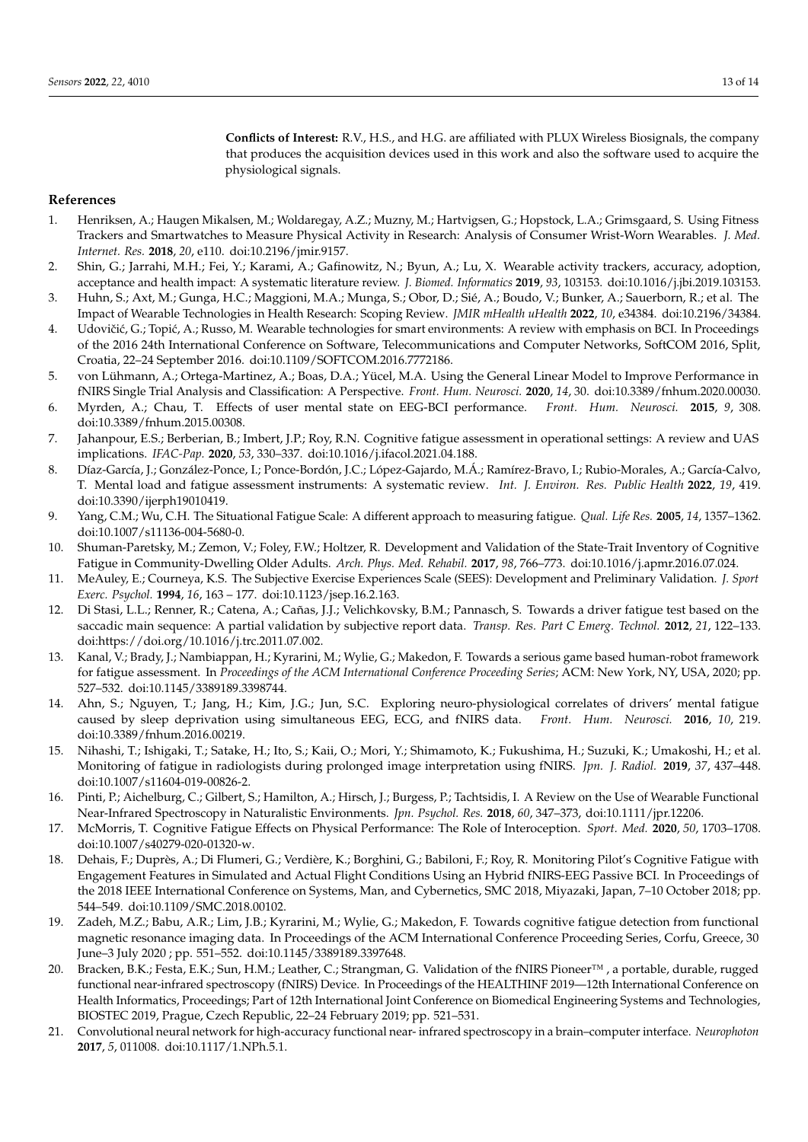**Conflicts of Interest:** R.V., H.S., and H.G. are affiliated with PLUX Wireless Biosignals, the company that produces the acquisition devices used in this work and also the software used to acquire the physiological signals.

## **References**

- <span id="page-12-0"></span>1. Henriksen, A.; Haugen Mikalsen, M.; Woldaregay, A.Z.; Muzny, M.; Hartvigsen, G.; Hopstock, L.A.; Grimsgaard, S. Using Fitness Trackers and Smartwatches to Measure Physical Activity in Research: Analysis of Consumer Wrist-Worn Wearables. *J. Med. Internet. Res.* **2018**, *20*, e110. doi[:10.2196/jmir.9157.](https://doi.org/10.2196/jmir.9157)
- <span id="page-12-1"></span>2. Shin, G.; Jarrahi, M.H.; Fei, Y.; Karami, A.; Gafinowitz, N.; Byun, A.; Lu, X. Wearable activity trackers, accuracy, adoption, acceptance and health impact: A systematic literature review. *J. Biomed. Informatics* **2019**, *93*, 103153. doi[:10.1016/j.jbi.2019.103153.](https://doi.org/https://doi.org/10.1016/j.jbi.2019.103153)
- <span id="page-12-2"></span>3. Huhn, S.; Axt, M.; Gunga, H.C.; Maggioni, M.A.; Munga, S.; Obor, D.; Sié, A.; Boudo, V.; Bunker, A.; Sauerborn, R.; et al. The Impact of Wearable Technologies in Health Research: Scoping Review. *JMIR mHealth uHealth* **2022**, *10*, e34384. doi[:10.2196/34384.](https://doi.org/10.2196/34384)
- <span id="page-12-3"></span>4. Udovičić, G.; Topić, A.; Russo, M. Wearable technologies for smart environments: A review with emphasis on BCI. In Proceedings of the 2016 24th International Conference on Software, Telecommunications and Computer Networks, SoftCOM 2016, Split, Croatia, 22–24 September 2016. doi[:10.1109/SOFTCOM.2016.7772186.](https://doi.org/10.1109/SOFTCOM.2016.7772186)
- <span id="page-12-4"></span>5. von Lühmann, A.; Ortega-Martinez, A.; Boas, D.A.; Yücel, M.A. Using the General Linear Model to Improve Performance in fNIRS Single Trial Analysis and Classification: A Perspective. *Front. Hum. Neurosci.* **2020**, *14*, 30. doi[:10.3389/fnhum.2020.00030.](https://doi.org/10.3389/fnhum.2020.00030)
- <span id="page-12-5"></span>6. Myrden, A.; Chau, T. Effects of user mental state on EEG-BCI performance. *Front. Hum. Neurosci.* **2015**, *9*, 308. doi[:10.3389/fnhum.2015.00308.](https://doi.org/10.3389/fnhum.2015.00308)
- <span id="page-12-6"></span>7. Jahanpour, E.S.; Berberian, B.; Imbert, J.P.; Roy, R.N. Cognitive fatigue assessment in operational settings: A review and UAS implications. *IFAC-Pap.* **2020**, *53*, 330–337. doi[:10.1016/j.ifacol.2021.04.188.](https://doi.org/10.1016/j.ifacol.2021.04.188)
- <span id="page-12-7"></span>8. Díaz-García, J.; González-Ponce, I.; Ponce-Bordón, J.C.; López-Gajardo, M.Á.; Ramírez-Bravo, I.; Rubio-Morales, A.; García-Calvo, T. Mental load and fatigue assessment instruments: A systematic review. *Int. J. Environ. Res. Public Health* **2022**, *19*, 419. doi[:10.3390/ijerph19010419.](https://doi.org/10.3390/ijerph19010419)
- <span id="page-12-8"></span>9. Yang, C.M.; Wu, C.H. The Situational Fatigue Scale: A different approach to measuring fatigue. *Qual. Life Res.* **2005**, *14*, 1357–1362. doi[:10.1007/s11136-004-5680-0.](https://doi.org/10.1007/s11136-004-5680-0)
- <span id="page-12-9"></span>10. Shuman-Paretsky, M.; Zemon, V.; Foley, F.W.; Holtzer, R. Development and Validation of the State-Trait Inventory of Cognitive Fatigue in Community-Dwelling Older Adults. *Arch. Phys. Med. Rehabil.* **2017**, *98*, 766–773. doi[:10.1016/j.apmr.2016.07.024.](https://doi.org/10.1016/j.apmr.2016.07.024)
- <span id="page-12-10"></span>11. MeAuley, E.; Courneya, K.S. The Subjective Exercise Experiences Scale (SEES): Development and Preliminary Validation. *J. Sport Exerc. Psychol.* **1994**, *16*, 163 – 177. doi[:10.1123/jsep.16.2.163.](https://doi.org/10.1123/jsep.16.2.163)
- <span id="page-12-11"></span>12. Di Stasi, L.L.; Renner, R.; Catena, A.; Cañas, J.J.; Velichkovsky, B.M.; Pannasch, S. Towards a driver fatigue test based on the saccadic main sequence: A partial validation by subjective report data. *Transp. Res. Part C Emerg. Technol.* **2012**, *21*, 122–133. doi[:https://doi.org/10.1016/j.trc.2011.07.002.](https://doi.org/https://doi.org/10.1016/j.trc.2011.07.002)
- <span id="page-12-12"></span>13. Kanal, V.; Brady, J.; Nambiappan, H.; Kyrarini, M.; Wylie, G.; Makedon, F. Towards a serious game based human-robot framework for fatigue assessment. In *Proceedings of the ACM International Conference Proceeding Series*; ACM: New York, NY, USA, 2020; pp. 527–532. doi[:10.1145/3389189.3398744.](https://doi.org/10.1145/3389189.3398744)
- <span id="page-12-13"></span>14. Ahn, S.; Nguyen, T.; Jang, H.; Kim, J.G.; Jun, S.C. Exploring neuro-physiological correlates of drivers' mental fatigue caused by sleep deprivation using simultaneous EEG, ECG, and fNIRS data. *Front. Hum. Neurosci.* **2016**, *10*, 219. doi[:10.3389/fnhum.2016.00219.](https://doi.org/10.3389/fnhum.2016.00219)
- <span id="page-12-14"></span>15. Nihashi, T.; Ishigaki, T.; Satake, H.; Ito, S.; Kaii, O.; Mori, Y.; Shimamoto, K.; Fukushima, H.; Suzuki, K.; Umakoshi, H.; et al. Monitoring of fatigue in radiologists during prolonged image interpretation using fNIRS. *Jpn. J. Radiol.* **2019**, *37*, 437–448. doi[:10.1007/s11604-019-00826-2.](https://doi.org/10.1007/s11604-019-00826-2)
- <span id="page-12-15"></span>16. Pinti, P.; Aichelburg, C.; Gilbert, S.; Hamilton, A.; Hirsch, J.; Burgess, P.; Tachtsidis, I. A Review on the Use of Wearable Functional Near-Infrared Spectroscopy in Naturalistic Environments. *Jpn. Psychol. Res.* **2018**, *60*, 347–373, doi[:10.1111/jpr.12206.](https://doi.org/https://doi.org/10.1111/jpr.12206)
- <span id="page-12-16"></span>17. McMorris, T. Cognitive Fatigue Effects on Physical Performance: The Role of Interoception. *Sport. Med.* **2020**, *50*, 1703–1708. doi[:10.1007/s40279-020-01320-w.](https://doi.org/10.1007/s40279-020-01320-w)
- <span id="page-12-17"></span>18. Dehais, F.; Duprès, A.; Di Flumeri, G.; Verdière, K.; Borghini, G.; Babiloni, F.; Roy, R. Monitoring Pilot's Cognitive Fatigue with Engagement Features in Simulated and Actual Flight Conditions Using an Hybrid fNIRS-EEG Passive BCI. In Proceedings of the 2018 IEEE International Conference on Systems, Man, and Cybernetics, SMC 2018, Miyazaki, Japan, 7–10 October 2018; pp. 544–549. doi[:10.1109/SMC.2018.00102.](https://doi.org/10.1109/SMC.2018.00102)
- <span id="page-12-18"></span>19. Zadeh, M.Z.; Babu, A.R.; Lim, J.B.; Kyrarini, M.; Wylie, G.; Makedon, F. Towards cognitive fatigue detection from functional magnetic resonance imaging data. In Proceedings of the ACM International Conference Proceeding Series, Corfu, Greece, 30 June–3 July 2020 ; pp. 551–552. doi[:10.1145/3389189.3397648.](https://doi.org/10.1145/3389189.3397648)
- <span id="page-12-19"></span>20. Bracken, B.K.; Festa, E.K.; Sun, H.M.; Leather, C.; Strangman, G. Validation of the fNIRS Pioneer™ , a portable, durable, rugged functional near-infrared spectroscopy (fNIRS) Device. In Proceedings of the HEALTHINF 2019—12th International Conference on Health Informatics, Proceedings; Part of 12th International Joint Conference on Biomedical Engineering Systems and Technologies, BIOSTEC 2019, Prague, Czech Republic, 22–24 February 2019; pp. 521–531.
- <span id="page-12-20"></span>21. Convolutional neural network for high-accuracy functional near- infrared spectroscopy in a brain–computer interface. *Neurophoton* **2017**, *5*, 011008. doi[:10.1117/1.NPh.5.1.](https://doi.org/10.1117/1.NPh.5.1)